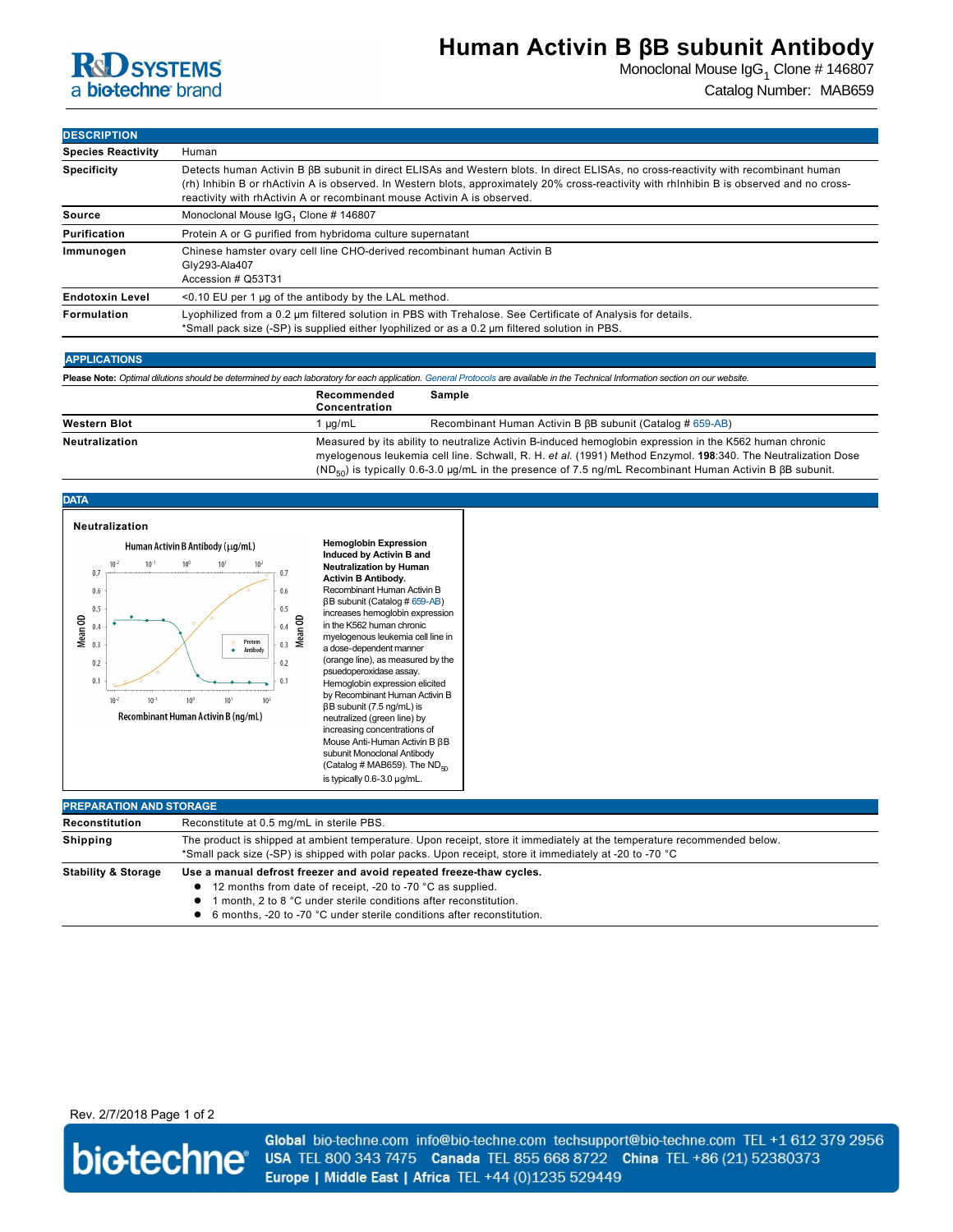

## **Human Activin B βB subunit Antibody**

Monoclonal Mouse IgG<sub>1</sub> Clone # 146807 Catalog Number: MAB659

| <b>DESCRIPTION</b>        |                                                                                                                                                                                                                                                                                                                                                                     |  |  |
|---------------------------|---------------------------------------------------------------------------------------------------------------------------------------------------------------------------------------------------------------------------------------------------------------------------------------------------------------------------------------------------------------------|--|--|
| <b>Species Reactivity</b> | Human                                                                                                                                                                                                                                                                                                                                                               |  |  |
| <b>Specificity</b>        | Detects human Activin B $\beta$ B subunit in direct ELISAs and Western blots. In direct ELISAs, no cross-reactivity with recombinant human<br>(rh) Inhibin B or rhActivin A is observed. In Western blots, approximately 20% cross-reactivity with rhInhibin B is observed and no cross-<br>reactivity with rhActivin A or recombinant mouse Activin A is observed. |  |  |
| Source                    | Monoclonal Mouse IgG, Clone #146807                                                                                                                                                                                                                                                                                                                                 |  |  |
| Purification              | Protein A or G purified from hybridoma culture supernatant                                                                                                                                                                                                                                                                                                          |  |  |
| Immunogen                 | Chinese hamster ovary cell line CHO-derived recombinant human Activin B<br>Gly293-Ala407<br>Accession # Q53T31                                                                                                                                                                                                                                                      |  |  |
| <b>Endotoxin Level</b>    | $\leq$ 0.10 EU per 1 µg of the antibody by the LAL method.                                                                                                                                                                                                                                                                                                          |  |  |
| Formulation               | Lyophilized from a 0.2 µm filtered solution in PBS with Trehalose. See Certificate of Analysis for details.<br>*Small pack size (-SP) is supplied either lyophilized or as a 0.2 µm filtered solution in PBS.                                                                                                                                                       |  |  |

|  | <b>APPLICATIONS</b> |  |
|--|---------------------|--|
|  |                     |  |

**Please Note:** *Optimal dilutions should be determined by each laboratory for each application. [General Protocols](http://www.rndsystems.com/resources/protocols-troubleshooting-guides) are available in the Technical Information section on our website.*

|                       | Recommended<br>Concentration | Sample                                                                                                                                                                                                                                                                                                                                           |
|-----------------------|------------------------------|--------------------------------------------------------------------------------------------------------------------------------------------------------------------------------------------------------------------------------------------------------------------------------------------------------------------------------------------------|
| <b>Western Blot</b>   | ua/mL                        | Recombinant Human Activin B $\beta$ B subunit (Catalog # 659-AB)                                                                                                                                                                                                                                                                                 |
| <b>Neutralization</b> |                              | Measured by its ability to neutralize Activin B-induced hemoglobin expression in the K562 human chronic<br>myelogenous leukemia cell line. Schwall, R. H. et al. (1991) Method Enzymol. 198:340. The Neutralization Dose<br>( $ND_{50}$ ) is typically 0.6-3.0 µg/mL in the presence of 7.5 ng/mL Recombinant Human Activin B $\beta$ B subunit. |



| Reconstitution                 | Reconstitute at 0.5 mg/mL in sterile PBS.                                                                               |
|--------------------------------|-------------------------------------------------------------------------------------------------------------------------|
| <b>Shipping</b>                | The product is shipped at ambient temperature. Upon receipt, store it immediately at the temperature recommended below. |
|                                | *Small pack size (-SP) is shipped with polar packs. Upon receipt, store it immediately at -20 to -70 °C                 |
| <b>Stability &amp; Storage</b> | Use a manual defrost freezer and avoid repeated freeze-thaw cycles.                                                     |
|                                | 12 months from date of receipt, -20 to -70 °C as supplied.                                                              |
|                                | month, 2 to 8 °C under sterile conditions after reconstitution.                                                         |
|                                | 6 months, -20 to -70 °C under sterile conditions after reconstitution.                                                  |

Rev. 2/7/2018 Page 1 of 2



Global bio-techne.com info@bio-techne.com techsupport@bio-techne.com TEL +1 612 379 2956 USA TEL 800 343 7475 Canada TEL 855 668 8722 China TEL +86 (21) 52380373 Europe | Middle East | Africa TEL +44 (0)1235 529449